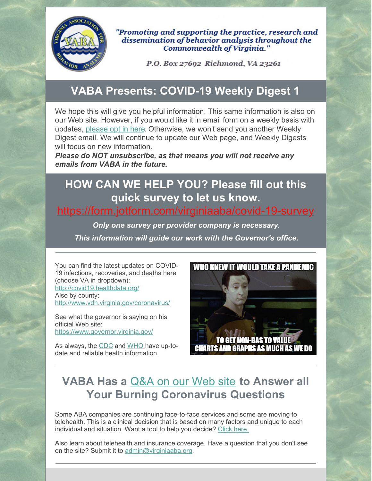

"Promoting and supporting the practice, research and dissemination of behavior analysis throughout the Commonwealth of Virginia."

P.O. Box 27692 Richmond, VA 23261

#### **VABA Presents: COVID-19 Weekly Digest 1**

We hope this will give you helpful information. This same information is also on our Web site. However, if you would like it in email form on a weekly basis with updates, [please](https://form.jotform.com/200965444848061) opt in here. Otherwise, we won't send you another Weekly Digest email. We will continue to update our Web page, and Weekly Digests will focus on new information.

*Please do NOT unsubscribe, as that means you will not receive any emails from VABA in the future.*

## **HOW CAN WE HELP YOU? Please fill out this quick survey to let us know.**

#### <https://form.jotform.com/virginiaaba/covid-19-survey>

*Only one survey per provider company is necessary. This information will guide our work with the Governor's office.*

You can find the latest updates on COVID-19 infections, recoveries, and deaths here (choose VA in dropdown): <http://covid19.healthdata.org/> Also by county: <http://www.vdh.virginia.gov/coronavirus/>

See what the governor is saying on his official Web site: <https://www.governor.virginia.gov/>

As always, the [CDC](https://www.cdc.gov/coronavirus/2019-nCoV/index.html) and [WHO](https://www.who.int/emergencies/diseases/novel-coronavirus-2019) have up-todate and reliable health information.



#### **VABA Has a** [Q&A](https://www.virginiaaba.org/information-on-covid-19/) on our Web site **to Answer all Your Burning Coronavirus Questions**

Some ABA companies are continuing face-to-face services and some are moving to telehealth. This is a clinical decision that is based on many factors and unique to each individual and situation. Want a tool to help you decide? [Click](https://prezi.com/view/obGIShJgj6RgxMq32z4U/) here.

Also learn about telehealth and insurance coverage. Have a question that you don't see on the site? Submit it to [admin@virginiaaba.org](mailto:admin@virginiaaba.org).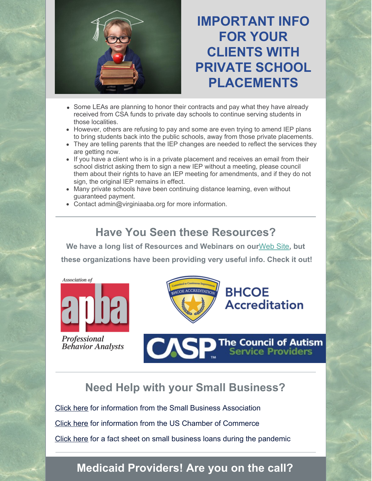

**IMPORTANT INFO FOR YOUR CLIENTS WITH PRIVATE SCHOOL PLACEMENTS**

- Some LEAs are planning to honor their contracts and pay what they have already received from CSA funds to private day schools to continue serving students in those localities.
- However, others are refusing to pay and some are even trying to amend IEP plans to bring students back into the public schools, away from those private placements.
- They are telling parents that the IEP changes are needed to reflect the services they are getting now.
- If you have a client who is in a private placement and receives an email from their school district asking them to sign a new IEP without a meeting, please council them about their rights to have an IEP meeting for amendments, and if they do not sign, the original IEP remains in effect.
- Many private schools have been continuing distance learning, even without guaranteed payment.
- Contact admin@virginiaaba.org for more information.

#### **Have You Seen these Resources?**

**We have a long list of Resources and Webinars on our**[Web](https://www.virginiaaba.org/information-on-covid-19/) Site**, but these organizations have been providing very useful info. Check it out!**



Professional **Behavior Analysts** 



### **BHCOE Accreditation**

**The Council of Autism<br>Service Providers** 

#### **Need Help with your Small Business?**

[Click](https://www.virginiaaba.org/wp-content/uploads/2020/04/PPP-IFRN-FINAL-Highlighted-Version.pdf) here for information from the Small Business Association [Click](https://www.virginiaaba.org/wp-content/uploads/2020/04/US-Chamber-Loan-Info.pdf) here for information from the US Chamber of Commerce [Click](https://home.treasury.gov/system/files/136/PPP--Fact-Sheet.pdf) here for a fact sheet on small business loans during the pandemic

#### **Medicaid Providers! Are you on the call?**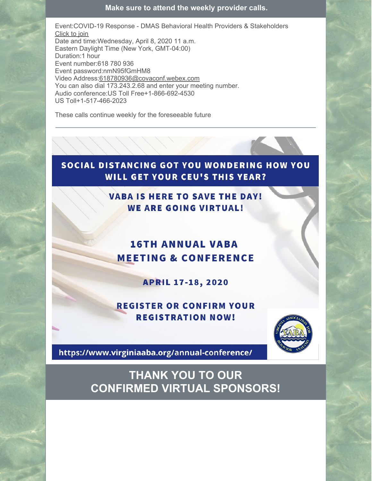**Make sure to attend the weekly provider calls.**

Event:COVID-19 Response - DMAS Behavioral Health Providers & Stakeholders [Click](https://go.magellanhealth.com/e/703943/5edb86748be6dfd33ff99aa8d9b1de/gghld/89353647?h=vkQvgyRHJ-eTvJQ3BD5LxcIB_tQ2-mw78CaKvTvvDA8) to join Date and time:Wednesday, April 8, 2020 11 a.m. Eastern Daylight Time (New York, GMT-04:00) Duration:1 hour Event number:618 780 936 Event password:nmN95fGmHM8 Video Address[:618780936@covaconf.webex.com](mailto:618780936@covaconf.webex.com) You can also dial 173.243.2.68 and enter your meeting number. Audio conference:US Toll Free+1-866-692-4530 US Toll+1-517-466-2023

These calls continue weekly for the foreseeable future

#### SOCIAL DISTANCING GOT YOU WONDERING HOW YOU **WILL GET YOUR CEU'S THIS YEAR?**

**VABA IS HERE TO SAVE THE DAY! WE ARE GOING VIRTUAL!** 

#### **16TH ANNUAL VABA MEETING & CONFERENCE**

**APRIL 17-18, 2020** 

**REGISTER OR CONFIRM YOUR REGISTRATION NOW!** 



https://www.virginiaaba.org/annual-conference/

**THANK YOU TO OUR CONFIRMED VIRTUAL SPONSORS!**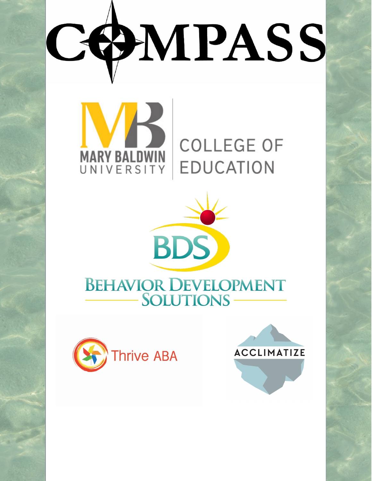# COMPASS



# **COLLEGE OF EDUCATION**